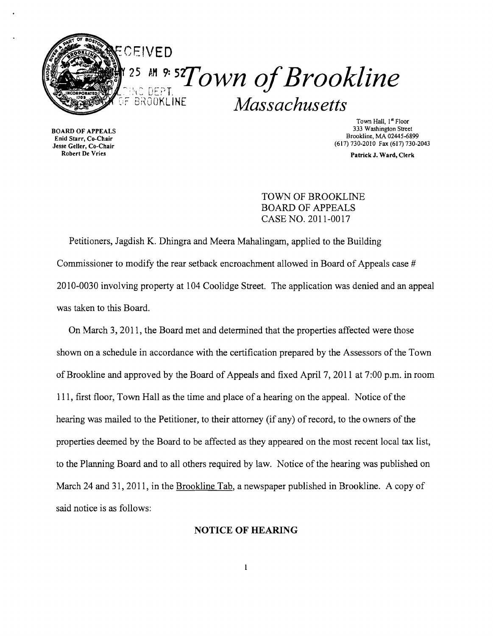

Enid Starr, Co-Chair<br>Jesse Geller, Co-Chair  $\frac{\text{GUT}}{\text{GUT}}$ , Co-Chair (617) 730-2010 Fax (617) 730-2010 Fax (617) 730-2010 Fax (617) 730-2010 Fax (617) 730-2010 Fax (617) 730-2010 Fax (617) 730-2010 Fax (617) 730-2010 Fax (617) 730-2013

Town Hall, 1<sup>st</sup> Floor<br>333 Washington Street 333 Washington Street 333 Washington Street<br>Enid Starr Co Chair

Patrick J. Ward, Clerk

TOWN OF BROOKLINE BOARD OF APPEALS CASE NO. 2011-0017

Petitioners, Jagdish K. Dhingra and Meera Mahalingam, applied to the Building Commissioner to modify the rear setback encroachment allowed in Board of Appeals case # 2010-0030 involving property at 104 Coolidge Street. The application was denied and an appeal was taken to this Board.

On March 3, 2011, the Board met and determined that the properties affected were those shown on a schedule in accordance with the certification prepared by the Assessors of the Town of Brookline and approved by the Board of Appeals and fixed April 7, 2011 at 7:00 p.m. in room 111, first floor, Town Hall as the time and place of a hearing on the appeal. Notice of the hearing was mailed to the Petitioner, to their attorney (if any) of record, to the owners of the properties deemed by the Board to be affected as they appeared on the most recent local tax list, to the Planning Board and to all others required by law. Notice of the hearing was published on March 24 and 31, 2011, in the Brookline Tab, a newspaper published in Brookline. A copy of said notice is as follows:

## **NOTICE OF HEARING**

 $\mathbf 1$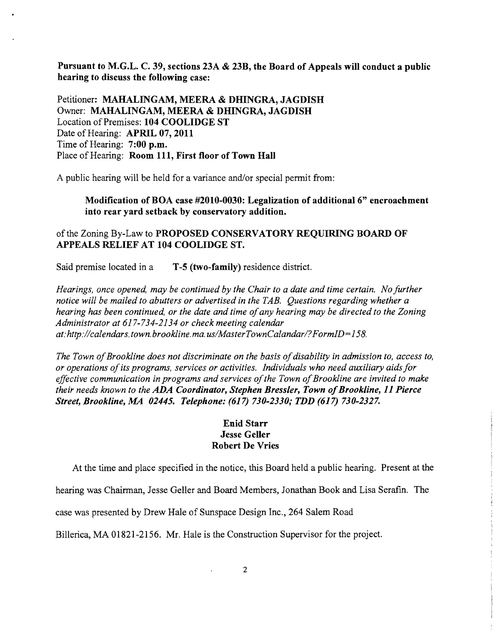**Pursuant to M.G.L. C. 39, sections 23A & 23B, the Board of Appeals will conduct a public hearing to discuss the following case:** 

Petitioner: MAHALINGAM, MEERA & DHINGRA, JAGDISH Owner: MAHALINGAM, MEERA & DHINGRA, JAGDISH Location of Premises: **104 COOLIDGE ST**  Date of Hearing: **APRIL 07,2011**  Time of Hearing: **7:00 p.m.**  Place of Hearing: **Room 111, First floor** of Town **Hall** 

A public hearing will be held for a variance and/or special permit from:

**Modification of BOA case #2010-0030: Legalization of** additional 6" **encroachment into rear yard setback by conservatory addition.** 

## ofthe Zoning By-Law to **PROPOSED CONSERVATORY REQUIRING BOARD OF APPEALS RELIEF AT 104 COOLIDGE ST.**

Said premise located in a **T-5 (two-family)** residence district.

*Hearings, once opened, may be continued by the Chair to a date and time certain. No further notice will be mailed to abutters or advertised in the TAB. Questions regarding whether a hearing has been continued, or the date and time ofany hearing may be directed to the Zoning Administrator at* 617-734-2134 *or check meeting calendar at:http://calendars.town.brookline.ma.usIMasterTownCalandarl?FormID=158.* 

*The Town of Brookline does not discriminate on the basis of disability in admission to, access to, or operations ofits programs, services or activities. Individuals who need auxiliary aids for*  effective communication in programs and services of the Town of Brookline are invited to make *their needs known to the ADA Coordinator, Stephen Bressler, Town ofBrookline,* **11** *Pierce Street, Brookline, MA 02445. Telephone:* **(617)** *730-2330,. TDD* **(617)** *730-2327.* 

## **Enid Starr Jesse Geller Robert De Vries**

At the time and place specified in the notice, this Board held a public hearing. Present at the

hearing was Chairman, Jesse Geller and Board Members, Jonathan Book and Lisa Serafin. The

case was presented by Drew Hale of Sunspace Design Inc., 264 Salem Road

Billerica, MA 01821-2156. Mr. Hale is the Construction Supervisor for the project.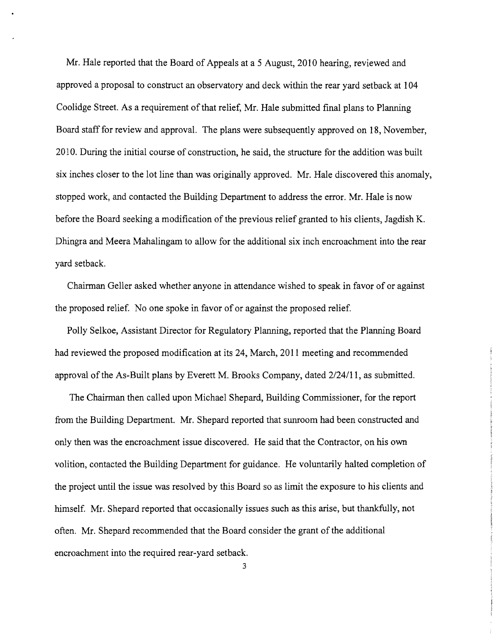Mr. Hale reported that the Board of Appeals at a 5 August, 2010 hearing, reviewed and approved a proposal to construct an observatory and deck within the rear yard setback at 104 Coolidge Street. As a requirement of that relief, Mr. Hale submitted final plans to Planning Board staff for review and approval. The plans were subsequently approved on 18, November, 2010. During the initial course of construction, he said, the structure for the addition was built six inches closer to the lot line than was originally approved. Mr. Hale discovered this anomaly, stopped work, and contacted the Building Department to address the error. Mr. Hale is now before the Board seeking a modification of the previous relief granted to his clients, Jagdish K. Dhingra and Meera Mahalingam to allow for the additional six inch encroachment into the rear yard setback.

Chairman Geller asked whether anyone in attendance wished to speak in favor of or against the proposed relief. No one spoke in favor of or against the proposed relief.

Polly Selkoe, Assistant Director for Regulatory Planning, reported that the Planning Board had reviewed the proposed modification at its 24, March, 2011 meeting and recommended approval of the As-Built plans by Everett M. Brooks Company, dated  $2/24/11$ , as submitted.

The Chairman then called upon Michael Shepard, Building Commissioner, for the report from the Building Department. Mr. Shepard reported that sunroom had been constructed and only then was the encroachment issue discovered. He said that the Contractor, on his own volition, contacted the Building Department for guidance. He voluntarily halted completion of the project until the issue was resolved by this Board so as limit the exposure to his clients and himself. Mr. Shepard reported that occasionally issues such as this arise, but thankfully, not often. Mr. Shepard recommended that the Board consider the grant of the additional encroachment into the required rear-yard setback.

3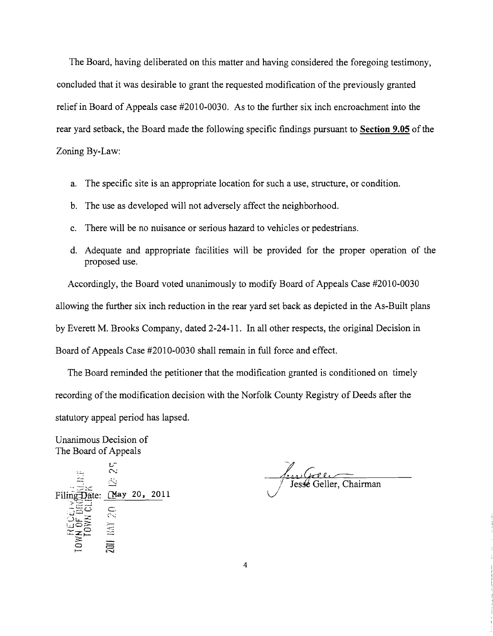The Board, having deliberated on this matter and having considered the foregoing testimony, concluded that it was desirable to grant the requested modification of the previously granted relief in Board of Appeals case #2010-0030. As to the further six inch encroachment into the rear yard setback, the Board made the following specific findings pursuant to **Section 9.05** of the Zoning By-Law:

- a. The specific site is an appropriate location for such a use, structure, or condition.
- b. The use as developed will not adversely affect the neighborhood.
- c. There will be no nuisance or serious hazard to vehicles or pedestrians.
- d. Adequate and appropriate facilities will be provided for the proper operation of the proposed use.

Accordingly, the Board voted unanimously to modify Board of Appeals Case #2010-0030 allowing the further six inch reduction in the rear yard set back as depicted in the As-Built plans by Everett M. Brooks Company, dated 2-24-11. **In** all other respects, the original Decision in Board of Appeals Case #2010-0030 shall remain in full force and effect.

The Board reminded the petitioner that the modification granted is conditioned on timely recording of the modification decision with the Norfolk County Registry of Deeds after the statutory appeal period has lapsed.

Unanimous Decision of The Board of Appeals

 $\bar{\sim}$  $\ddot{\sim}$ Filing Date: (May 20, 2011 **2011 NAY 20** 

Jesse Geller, Chairman